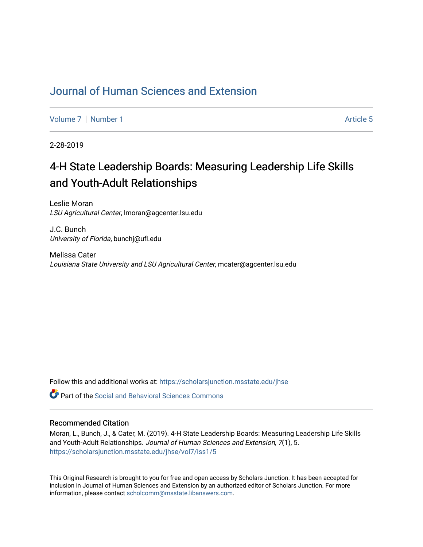## [Journal of Human Sciences and Extension](https://scholarsjunction.msstate.edu/jhse)

[Volume 7](https://scholarsjunction.msstate.edu/jhse/vol7) | [Number 1](https://scholarsjunction.msstate.edu/jhse/vol7/iss1) Article 5

2-28-2019

# 4-H State Leadership Boards: Measuring Leadership Life Skills and Youth-Adult Relationships

Leslie Moran LSU Agricultural Center, lmoran@agcenter.lsu.edu

J.C. Bunch University of Florida, bunchj@ufl.edu

Melissa Cater Louisiana State University and LSU Agricultural Center, mcater@agcenter.lsu.edu

Follow this and additional works at: [https://scholarsjunction.msstate.edu/jhse](https://scholarsjunction.msstate.edu/jhse?utm_source=scholarsjunction.msstate.edu%2Fjhse%2Fvol7%2Fiss1%2F5&utm_medium=PDF&utm_campaign=PDFCoverPages)

**C** Part of the Social and Behavioral Sciences Commons

#### Recommended Citation

Moran, L., Bunch, J., & Cater, M. (2019). 4-H State Leadership Boards: Measuring Leadership Life Skills and Youth-Adult Relationships. Journal of Human Sciences and Extension, 7(1), 5. [https://scholarsjunction.msstate.edu/jhse/vol7/iss1/5](https://scholarsjunction.msstate.edu/jhse/vol7/iss1/5?utm_source=scholarsjunction.msstate.edu%2Fjhse%2Fvol7%2Fiss1%2F5&utm_medium=PDF&utm_campaign=PDFCoverPages)

This Original Research is brought to you for free and open access by Scholars Junction. It has been accepted for inclusion in Journal of Human Sciences and Extension by an authorized editor of Scholars Junction. For more information, please contact [scholcomm@msstate.libanswers.com](mailto:scholcomm@msstate.libanswers.com).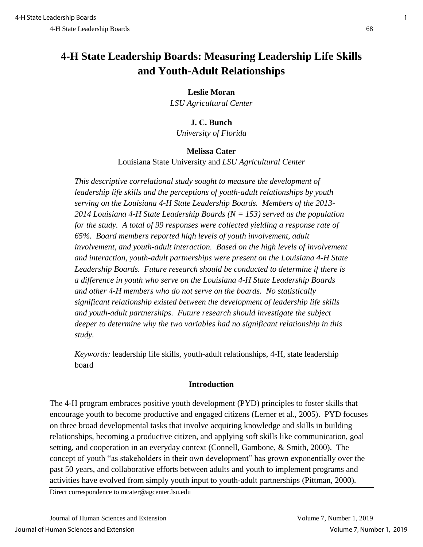## **4-H State Leadership Boards: Measuring Leadership Life Skills and Youth-Adult Relationships**

## **Leslie Moran**

*LSU Agricultural Center*

## **J. C. Bunch**

*University of Florida*

## **Melissa Cater**

Louisiana State University and *LSU Agricultural Center*

*This descriptive correlational study sought to measure the development of leadership life skills and the perceptions of youth-adult relationships by youth serving on the Louisiana 4-H State Leadership Boards. Members of the 2013- 2014 Louisiana 4-H State Leadership Boards (N = 153) served as the population for the study. A total of 99 responses were collected yielding a response rate of 65%. Board members reported high levels of youth involvement, adult involvement, and youth-adult interaction. Based on the high levels of involvement and interaction, youth-adult partnerships were present on the Louisiana 4-H State Leadership Boards. Future research should be conducted to determine if there is a difference in youth who serve on the Louisiana 4-H State Leadership Boards and other 4-H members who do not serve on the boards. No statistically significant relationship existed between the development of leadership life skills and youth-adult partnerships. Future research should investigate the subject deeper to determine why the two variables had no significant relationship in this study.* 

*Keywords:* leadership life skills, youth-adult relationships, 4-H, state leadership board

## **Introduction**

The 4-H program embraces positive youth development (PYD) principles to foster skills that encourage youth to become productive and engaged citizens (Lerner et al., 2005). PYD focuses on three broad developmental tasks that involve acquiring knowledge and skills in building relationships, becoming a productive citizen, and applying soft skills like communication, goal setting, and cooperation in an everyday context (Connell, Gambone, & Smith, 2000). The concept of youth "as stakeholders in their own development" has grown exponentially over the past 50 years, and collaborative efforts between adults and youth to implement programs and activities have evolved from simply youth input to youth-adult partnerships (Pittman, 2000).

Direct correspondence to mcater@agcenter.lsu.edu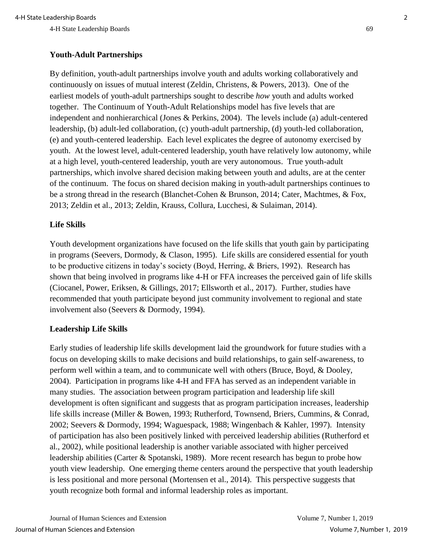#### **Youth-Adult Partnerships**

By definition, youth-adult partnerships involve youth and adults working collaboratively and continuously on issues of mutual interest (Zeldin, Christens, & Powers, 2013). One of the earliest models of youth-adult partnerships sought to describe *how* youth and adults worked together. The Continuum of Youth-Adult Relationships model has five levels that are independent and nonhierarchical (Jones & Perkins, 2004). The levels include (a) adult-centered leadership, (b) adult-led collaboration, (c) youth-adult partnership, (d) youth-led collaboration, (e) and youth-centered leadership. Each level explicates the degree of autonomy exercised by youth. At the lowest level, adult-centered leadership, youth have relatively low autonomy, while at a high level, youth-centered leadership, youth are very autonomous. True youth-adult partnerships, which involve shared decision making between youth and adults, are at the center of the continuum. The focus on shared decision making in youth-adult partnerships continues to be a strong thread in the research (Blanchet-Cohen & Brunson, 2014; Cater, Machtmes, & Fox, 2013; Zeldin et al., 2013; Zeldin, Krauss, Collura, Lucchesi, & Sulaiman, 2014).

#### **Life Skills**

Youth development organizations have focused on the life skills that youth gain by participating in programs (Seevers, Dormody, & Clason, 1995). Life skills are considered essential for youth to be productive citizens in today's society (Boyd, Herring, & Briers, 1992). Research has shown that being involved in programs like 4-H or FFA increases the perceived gain of life skills (Ciocanel, Power, Eriksen, & Gillings, 2017; Ellsworth et al., 2017). Further, studies have recommended that youth participate beyond just community involvement to regional and state involvement also (Seevers & Dormody, 1994).

#### **Leadership Life Skills**

Early studies of leadership life skills development laid the groundwork for future studies with a focus on developing skills to make decisions and build relationships, to gain self-awareness, to perform well within a team, and to communicate well with others (Bruce, Boyd, & Dooley, 2004). Participation in programs like 4-H and FFA has served as an independent variable in many studies. The association between program participation and leadership life skill development is often significant and suggests that as program participation increases, leadership life skills increase (Miller & Bowen, 1993; Rutherford, Townsend, Briers, Cummins, & Conrad, 2002; Seevers & Dormody, 1994; Waguespack, 1988; Wingenbach & Kahler, 1997). Intensity of participation has also been positively linked with perceived leadership abilities (Rutherford et al., 2002), while positional leadership is another variable associated with higher perceived leadership abilities (Carter & Spotanski, 1989). More recent research has begun to probe how youth view leadership. One emerging theme centers around the perspective that youth leadership is less positional and more personal (Mortensen et al., 2014). This perspective suggests that youth recognize both formal and informal leadership roles as important.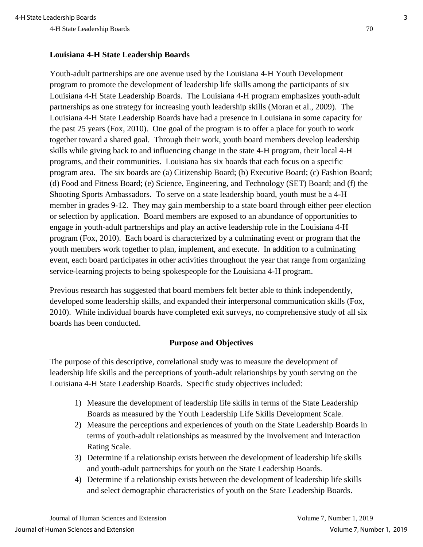## **Louisiana 4-H State Leadership Boards**

Youth-adult partnerships are one avenue used by the Louisiana 4-H Youth Development program to promote the development of leadership life skills among the participants of six Louisiana 4-H State Leadership Boards. The Louisiana 4-H program emphasizes youth-adult partnerships as one strategy for increasing youth leadership skills (Moran et al., 2009). The Louisiana 4-H State Leadership Boards have had a presence in Louisiana in some capacity for the past 25 years (Fox, 2010). One goal of the program is to offer a place for youth to work together toward a shared goal. Through their work, youth board members develop leadership skills while giving back to and influencing change in the state 4-H program, their local 4-H programs, and their communities. Louisiana has six boards that each focus on a specific program area. The six boards are (a) Citizenship Board; (b) Executive Board; (c) Fashion Board; (d) Food and Fitness Board; (e) Science, Engineering, and Technology (SET) Board; and (f) the Shooting Sports Ambassadors. To serve on a state leadership board, youth must be a 4-H member in grades 9-12. They may gain membership to a state board through either peer election or selection by application. Board members are exposed to an abundance of opportunities to engage in youth-adult partnerships and play an active leadership role in the Louisiana 4-H program (Fox, 2010). Each board is characterized by a culminating event or program that the youth members work together to plan, implement, and execute. In addition to a culminating event, each board participates in other activities throughout the year that range from organizing service-learning projects to being spokespeople for the Louisiana 4-H program.

Previous research has suggested that board members felt better able to think independently, developed some leadership skills, and expanded their interpersonal communication skills (Fox, 2010). While individual boards have completed exit surveys, no comprehensive study of all six boards has been conducted.

## **Purpose and Objectives**

The purpose of this descriptive, correlational study was to measure the development of leadership life skills and the perceptions of youth-adult relationships by youth serving on the Louisiana 4-H State Leadership Boards. Specific study objectives included:

- 1) Measure the development of leadership life skills in terms of the State Leadership Boards as measured by the Youth Leadership Life Skills Development Scale.
- 2) Measure the perceptions and experiences of youth on the State Leadership Boards in terms of youth-adult relationships as measured by the Involvement and Interaction Rating Scale.
- 3) Determine if a relationship exists between the development of leadership life skills and youth-adult partnerships for youth on the State Leadership Boards.
- 4) Determine if a relationship exists between the development of leadership life skills and select demographic characteristics of youth on the State Leadership Boards.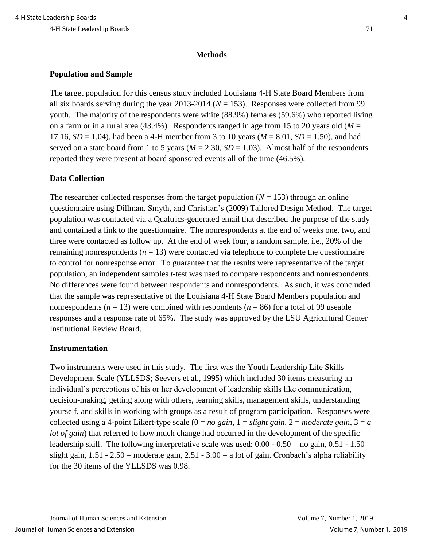#### **Methods**

## **Population and Sample**

The target population for this census study included Louisiana 4-H State Board Members from all six boards serving during the year  $2013-2014$  ( $N = 153$ ). Responses were collected from 99 youth. The majority of the respondents were white (88.9%) females (59.6%) who reported living on a farm or in a rural area (43.4%). Respondents ranged in age from 15 to 20 years old ( $M =$ 17.16,  $SD = 1.04$ ), had been a 4-H member from 3 to 10 years ( $M = 8.01$ ,  $SD = 1.50$ ), and had served on a state board from 1 to 5 years ( $M = 2.30$ ,  $SD = 1.03$ ). Almost half of the respondents reported they were present at board sponsored events all of the time (46.5%).

### **Data Collection**

The researcher collected responses from the target population  $(N = 153)$  through an online questionnaire using Dillman, Smyth, and Christian's (2009) Tailored Design Method. The target population was contacted via a Qualtrics-generated email that described the purpose of the study and contained a link to the questionnaire. The nonrespondents at the end of weeks one, two, and three were contacted as follow up. At the end of week four, a random sample, i.e., 20% of the remaining nonrespondents ( $n = 13$ ) were contacted via telephone to complete the questionnaire to control for nonresponse error. To guarantee that the results were representative of the target population, an independent samples *t*-test was used to compare respondents and nonrespondents. No differences were found between respondents and nonrespondents. As such, it was concluded that the sample was representative of the Louisiana 4-H State Board Members population and nonrespondents ( $n = 13$ ) were combined with respondents ( $n = 86$ ) for a total of 99 useable responses and a response rate of 65%. The study was approved by the LSU Agricultural Center Institutional Review Board.

#### **Instrumentation**

Two instruments were used in this study. The first was the Youth Leadership Life Skills Development Scale (YLLSDS; Seevers et al., 1995) which included 30 items measuring an individual's perceptions of his or her development of leadership skills like communication, decision-making, getting along with others, learning skills, management skills, understanding yourself, and skills in working with groups as a result of program participation. Responses were collected using a 4-point Likert-type scale  $(0 = no gain, 1 = slight gain, 2 = moderate gain, 3 = a$ *lot of gain*) that referred to how much change had occurred in the development of the specific leadership skill. The following interpretative scale was used:  $0.00 - 0.50 =$  no gain,  $0.51 - 1.50 =$ slight gain,  $1.51 - 2.50$  = moderate gain,  $2.51 - 3.00$  = a lot of gain. Cronbach's alpha reliability for the 30 items of the YLLSDS was 0.98.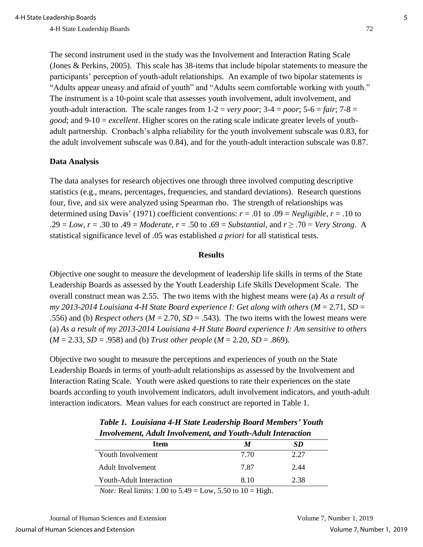The second instrument used in the study was the Involvement and Interaction Rating Scale (Jones & Perkins, 2005). This scale has 38-items that include bipolar statements to measure the participants' perception of youth-adult relationships. An example of two bipolar statements is "Adults appear uneasy and afraid of youth" and "Adults seem comfortable working with youth." The instrument is a 10-point scale that assesses youth involvement, adult involvement, and youth-adult interaction. The scale ranges from  $1-2 = \nu$ ery poor;  $3-4 =$  poor;  $5-6 =$  *fair*;  $7-8 =$ *good*; and 9-10 = *excellent*. Higher scores on the rating scale indicate greater levels of youthadult partnership. Cronbach's alpha reliability for the youth involvement subscale was 0.83, for the adult involvement subscale was 0.84), and for the youth-adult interaction subscale was 0.87.

#### **Data Analysis**

The data analyses for research objectives one through three involved computing descriptive statistics (e.g., means, percentages, frequencies, and standard deviations). Research questions four, five, and six were analyzed using Spearman rho. The strength of relationships was determined using Davis' (1971) coefficient conventions:  $r = .01$  to  $.09 = Negligible$ ,  $r = .10$  to .29 = *Low*, *r* = .30 to .49 = *Moderate*, *r* = .50 to .69 = *Substantial,* and *r* ≥ .70 = *Very Strong*. A statistical significance level of .05 was established *a priori* for all statistical tests.

#### **Results**

Objective one sought to measure the development of leadership life skills in terms of the State Leadership Boards as assessed by the Youth Leadership Life Skills Development Scale. The overall construct mean was 2.55. The two items with the highest means were (a) *As a result of my* 2013-2014 Louisiana 4-H State Board experience I: Get along with others  $(M = 2.71, SD =$ .556) and (b) *Respect others*  $(M = 2.70, SD = .543)$ . The two items with the lowest means were (a) *As a result of my 2013-2014 Louisiana 4-H State Board experience I: Am sensitive to others* (*M* = 2.33, *SD* = .958) and (b) *Trust other people* (*M* = 2.20, *SD* = .869)*.* 

Objective two sought to measure the perceptions and experiences of youth on the State Leadership Boards in terms of youth-adult relationships as assessed by the Involvement and Interaction Rating Scale. Youth were asked questions to rate their experiences on the state boards according to youth involvement indicators, adult involvement indicators, and youth-adult interaction indicators. Mean values for each construct are reported in Table 1.

| Involvement, Ataan Involvement, and Touth-Ataan Interaction     |      |      |  |
|-----------------------------------------------------------------|------|------|--|
| Item                                                            | М    | SD   |  |
| Youth Involvement                                               | 7.70 | 2.27 |  |
| Adult Involvement                                               | 7.87 | 2.44 |  |
| Youth-Adult Interaction                                         | 8.10 | 2.38 |  |
| <i>Note</i> : Real limits: 1.00 to 5.49 – Low 5.50 to 10 – High |      |      |  |

*Table 1. Louisiana 4-H State Leadership Board Members' Youth Involvement, Adult Involvement, and Youth-Adult Interaction*

*Note:* Real limits: 1.00 to 5.49 = Low, 5.50 to  $10 =$  High.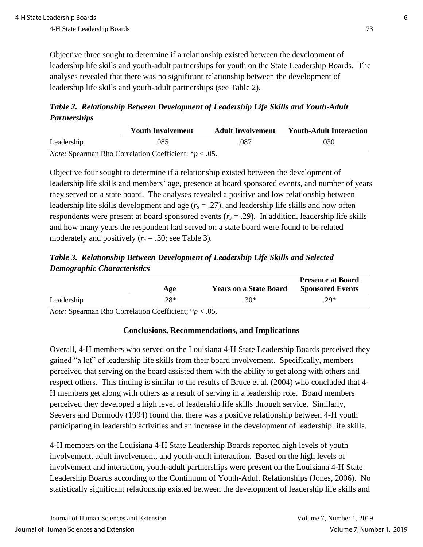Objective three sought to determine if a relationship existed between the development of leadership life skills and youth-adult partnerships for youth on the State Leadership Boards. The analyses revealed that there was no significant relationship between the development of leadership life skills and youth-adult partnerships (see Table 2).

*Table 2.**Relationship Between Development of Leadership Life Skills and Youth-Adult Partnerships*

|            | <b>Youth Involvement</b>                                         | <b>Adult Involvement</b> | <b>Youth-Adult Interaction</b> |
|------------|------------------------------------------------------------------|--------------------------|--------------------------------|
| Leadership | .085                                                             | .087                     | .030                           |
|            | <i>Note:</i> Spearman Rho Correlation Coefficient; $* p < .05$ . |                          |                                |

Objective four sought to determine if a relationship existed between the development of leadership life skills and members' age, presence at board sponsored events, and number of years they served on a state board. The analyses revealed a positive and low relationship between leadership life skills development and age  $(r<sub>s</sub> = .27)$ , and leadership life skills and how often respondents were present at board sponsored events  $(r_s = .29)$ . In addition, leadership life skills and how many years the respondent had served on a state board were found to be related moderately and positively  $(r_s = .30; \text{ see Table 3}).$ 

*Table 3.**Relationship Between Development of Leadership Life Skills and Selected Demographic Characteristics*

|            | Age    | <b>Years on a State Board</b> | <b>Presence at Board</b><br><b>Sponsored Events</b> |
|------------|--------|-------------------------------|-----------------------------------------------------|
| Leadership | $.28*$ | $.30*$                        | $.29*$                                              |

*Note:* Spearman Rho Correlation Coefficient; \**p* < .05.

## **Conclusions, Recommendations, and Implications**

Overall, 4-H members who served on the Louisiana 4-H State Leadership Boards perceived they gained "a lot" of leadership life skills from their board involvement. Specifically, members perceived that serving on the board assisted them with the ability to get along with others and respect others. This finding is similar to the results of Bruce et al. (2004) who concluded that 4- H members get along with others as a result of serving in a leadership role. Board members perceived they developed a high level of leadership life skills through service. Similarly, Seevers and Dormody (1994) found that there was a positive relationship between 4-H youth participating in leadership activities and an increase in the development of leadership life skills.

4-H members on the Louisiana 4-H State Leadership Boards reported high levels of youth involvement, adult involvement, and youth-adult interaction. Based on the high levels of involvement and interaction, youth-adult partnerships were present on the Louisiana 4-H State Leadership Boards according to the Continuum of Youth-Adult Relationships (Jones, 2006). No statistically significant relationship existed between the development of leadership life skills and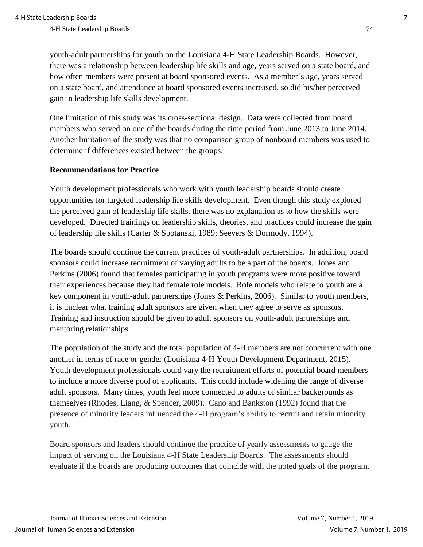youth-adult partnerships for youth on the Louisiana 4-H State Leadership Boards. However, there was a relationship between leadership life skills and age, years served on a state board, and how often members were present at board sponsored events. As a member's age, years served on a state board, and attendance at board sponsored events increased, so did his/her perceived gain in leadership life skills development.

One limitation of this study was its cross-sectional design. Data were collected from board members who served on one of the boards during the time period from June 2013 to June 2014. Another limitation of the study was that no comparison group of nonboard members was used to determine if differences existed between the groups.

#### **Recommendations for Practice**

Youth development professionals who work with youth leadership boards should create opportunities for targeted leadership life skills development. Even though this study explored the perceived gain of leadership life skills, there was no explanation as to how the skills were developed. Directed trainings on leadership skills, theories, and practices could increase the gain of leadership life skills (Carter & Spotanski, 1989; Seevers & Dormody, 1994).

The boards should continue the current practices of youth-adult partnerships. In addition, board sponsors could increase recruitment of varying adults to be a part of the boards. Jones and Perkins (2006) found that females participating in youth programs were more positive toward their experiences because they had female role models. Role models who relate to youth are a key component in youth-adult partnerships (Jones & Perkins, 2006). Similar to youth members, it is unclear what training adult sponsors are given when they agree to serve as sponsors. Training and instruction should be given to adult sponsors on youth-adult partnerships and mentoring relationships.

The population of the study and the total population of 4-H members are not concurrent with one another in terms of race or gender (Louisiana 4-H Youth Development Department, 2015). Youth development professionals could vary the recruitment efforts of potential board members to include a more diverse pool of applicants. This could include widening the range of diverse adult sponsors. Many times, youth feel more connected to adults of similar backgrounds as themselves (Rhodes, Liang, & Spencer, 2009). Cano and Bankston (1992) found that the presence of minority leaders influenced the 4-H program's ability to recruit and retain minority youth.

Board sponsors and leaders should continue the practice of yearly assessments to gauge the impact of serving on the Louisiana 4-H State Leadership Boards. The assessments should evaluate if the boards are producing outcomes that coincide with the noted goals of the program.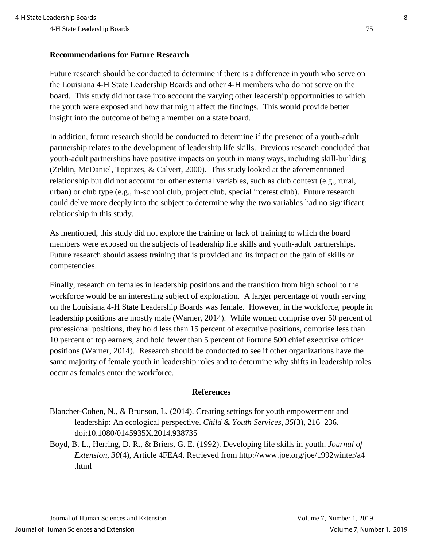### **Recommendations for Future Research**

Future research should be conducted to determine if there is a difference in youth who serve on the Louisiana 4-H State Leadership Boards and other 4-H members who do not serve on the board. This study did not take into account the varying other leadership opportunities to which the youth were exposed and how that might affect the findings. This would provide better insight into the outcome of being a member on a state board.

In addition, future research should be conducted to determine if the presence of a youth-adult partnership relates to the development of leadership life skills. Previous research concluded that youth-adult partnerships have positive impacts on youth in many ways, including skill-building (Zeldin, McDaniel, Topitzes, & Calvert, 2000). This study looked at the aforementioned relationship but did not account for other external variables, such as club context (e.g., rural, urban) or club type (e.g., in-school club, project club, special interest club). Future research could delve more deeply into the subject to determine why the two variables had no significant relationship in this study.

As mentioned, this study did not explore the training or lack of training to which the board members were exposed on the subjects of leadership life skills and youth-adult partnerships. Future research should assess training that is provided and its impact on the gain of skills or competencies.

Finally, research on females in leadership positions and the transition from high school to the workforce would be an interesting subject of exploration. A larger percentage of youth serving on the Louisiana 4-H State Leadership Boards was female. However, in the workforce, people in leadership positions are mostly male (Warner, 2014). While women comprise over 50 percent of professional positions, they hold less than 15 percent of executive positions, comprise less than 10 percent of top earners, and hold fewer than 5 percent of Fortune 500 chief executive officer positions (Warner, 2014). Research should be conducted to see if other organizations have the same majority of female youth in leadership roles and to determine why shifts in leadership roles occur as females enter the workforce.

### **References**

- Blanchet-Cohen, N., & Brunson, L. (2014). Creating settings for youth empowerment and leadership: An ecological perspective. *Child & Youth Services, 35*(3)*,* 216–236. doi:10.1080/0145935X.2014.938735
- Boyd, B. L., Herring, D. R., & Briers, G. E. (1992). Developing life skills in youth. *Journal of Extension, 30*(4), Article 4FEA4. Retrieved from http://www.joe.org/joe/1992winter/a4 .html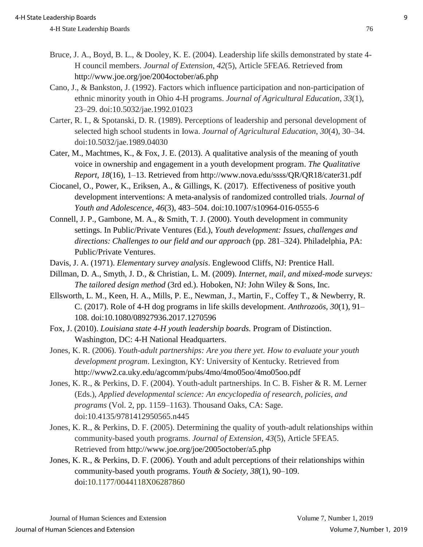- Bruce, J. A., Boyd, B. L., & Dooley, K. E. (2004). Leadership life skills demonstrated by state 4- H council members. *Journal of Extension*, *42*(5), Article 5FEA6. Retrieved from http://www.joe.org/joe/2004october/a6.php
- Cano, J., & Bankston, J. (1992). Factors which influence participation and non-participation of ethnic minority youth in Ohio 4-H programs. *Journal of Agricultural Education*, *33*(1), 23–29. doi:10.5032/jae.1992.01023
- Carter, R. I., & Spotanski, D. R. (1989). Perceptions of leadership and personal development of selected high school students in Iowa. *Journal of Agricultural Education*, *30*(4), 30–34. doi:10.5032/jae.1989.04030
- Cater, M., Machtmes, K., & Fox, J. E. (2013). A qualitative analysis of the meaning of youth voice in ownership and engagement in a youth development program. *The Qualitative Report*, *18*(16), 1–13. Retrieved from http://www.nova.edu/ssss/QR/QR18/cater31.pdf
- Ciocanel, O., Power, K., Eriksen, A., & Gillings, K. (2017). Effectiveness of positive youth development interventions: A meta-analysis of randomized controlled trials. *Journal of Youth and Adolescence, 46*(3), 483–504. doi:10.1007/s10964-016-0555-6
- Connell, J. P., Gambone, M. A., & Smith, T. J. (2000). Youth development in community settings. In Public/Private Ventures (Ed.), *Youth development: Issues, challenges and directions: Challenges to our field and our approach* (pp. 281–324). Philadelphia, PA: Public/Private Ventures.
- Davis, J. A. (1971). *Elementary survey analysis*. Englewood Cliffs, NJ: Prentice Hall.
- Dillman, D. A., Smyth, J. D., & Christian, L. M. (2009). *Internet, mail, and mixed-mode surveys: The tailored design method* (3rd ed.). Hoboken, NJ: John Wiley & Sons, Inc.
- Ellsworth, L. M., Keen, H. A., Mills, P. E., Newman, J., Martin, F., Coffey T., & Newberry, R. C. (2017). Role of 4-H dog programs in life skills development. *Anthrozoös, 30*(1), 91– 108. doi:10.1080/08927936.2017.1270596
- Fox, J. (2010). *Louisiana state 4-H youth leadership boards.* Program of Distinction. Washington, DC: 4-H National Headquarters.
- Jones, K. R. (2006). *Youth-adult partnerships: Are you there yet. How to evaluate your youth development program*. Lexington, KY: University of Kentucky. Retrieved from http://www2.ca.uky.edu/agcomm/pubs/4mo/4mo05oo/4mo05oo.pdf
- Jones, K. R., & Perkins, D. F. (2004). Youth-adult partnerships. In C. B. Fisher & R. M. Lerner (Eds.), *Applied developmental science: An encyclopedia of research, policies, and programs* (Vol. 2, pp. 1159–1163). Thousand Oaks, CA: Sage. doi:10.4135/9781412950565.n445
- Jones, K. R., & Perkins, D. F. (2005). Determining the quality of youth-adult relationships within community-based youth programs. *Journal of Extension*, *43*(5), Article 5FEA5. Retrieved from http://www.joe.org/joe/2005october/a5.php
- Jones, K. R., & Perkins, D. F. (2006). Youth and adult perceptions of their relationships within community-based youth programs. *Youth & Society, 38*(1), 90–109. doi:10.1177/0044118X06287860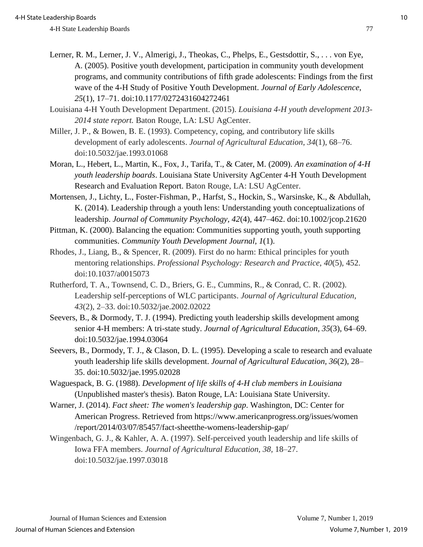- Lerner, R. M., Lerner, J. V., Almerigi, J., Theokas, C., Phelps, E., Gestsdottir, S., . . . von Eye, A. (2005). Positive youth development, participation in community youth development programs, and community contributions of fifth grade adolescents: Findings from the first wave of the 4-H Study of Positive Youth Development. *Journal of Early Adolescence*, *25*(1), 17–71. doi:10.1177/0272431604272461
- Louisiana 4-H Youth Development Department. (2015). *Louisiana 4-H youth development 2013- 2014 state report.* Baton Rouge, LA: LSU AgCenter.
- Miller, J. P., & Bowen, B. E. (1993). Competency, coping, and contributory life skills development of early adolescents. *Journal of Agricultural Education*, *34*(1), 68–76. doi:10.5032/jae.1993.01068
- Moran, L., Hebert, L., Martin, K., Fox, J., Tarifa, T., & Cater, M. (2009). *An examination of 4-H youth leadership boards*. Louisiana State University AgCenter 4-H Youth Development Research and Evaluation Report. Baton Rouge, LA: LSU AgCenter.
- Mortensen, J., Lichty, L., Foster-Fishman, P., Harfst, S., Hockin, S., Warsinske, K., & Abdullah, K. (2014). Leadership through a youth lens: Understanding youth conceptualizations of leadership. *Journal of Community Psychology, 42*(4), 447–462. doi:10.1002/jcop.21620
- Pittman, K. (2000). Balancing the equation: Communities supporting youth, youth supporting communities. *Community Youth Development Journal, 1*(1).
- Rhodes, J., Liang, B., & Spencer, R. (2009). First do no harm: Ethical principles for youth mentoring relationships. *Professional Psychology: Research and Practice*, *40*(5), 452. doi:10.1037/a0015073
- Rutherford, T. A., Townsend, C. D., Briers, G. E., Cummins, R., & Conrad, C. R. (2002). Leadership self-perceptions of WLC participants. *Journal of Agricultural Education*, *43*(2), 2–33. doi:10.5032/jae.2002.02022
- Seevers, B., & Dormody, T. J. (1994). Predicting youth leadership skills development among senior 4-H members: A tri-state study. *Journal of Agricultural Education*, *35*(3), 64–69. doi:10.5032/jae.1994.03064
- Seevers, B., Dormody, T. J., & Clason, D. L. (1995). Developing a scale to research and evaluate youth leadership life skills development. *Journal of Agricultural Education, 36*(2), 28– 35. doi:10.5032/jae.1995.02028
- Waguespack, B. G. (1988). *Development of life skills of 4-H club members in Louisiana* (Unpublished master's thesis). Baton Rouge, LA: Louisiana State University.
- Warner, J. (2014). *Fact sheet: The women's leadership gap*. Washington, DC: Center for American Progress. Retrieved from https://www.americanprogress.org/issues/women /report/2014/03/07/85457/fact-sheetthe-womens-leadership-gap/
- Wingenbach, G. J., & Kahler, A. A. (1997). Self-perceived youth leadership and life skills of Iowa FFA members. *Journal of Agricultural Education, 38,* 18–27. doi:10.5032/jae.1997.03018